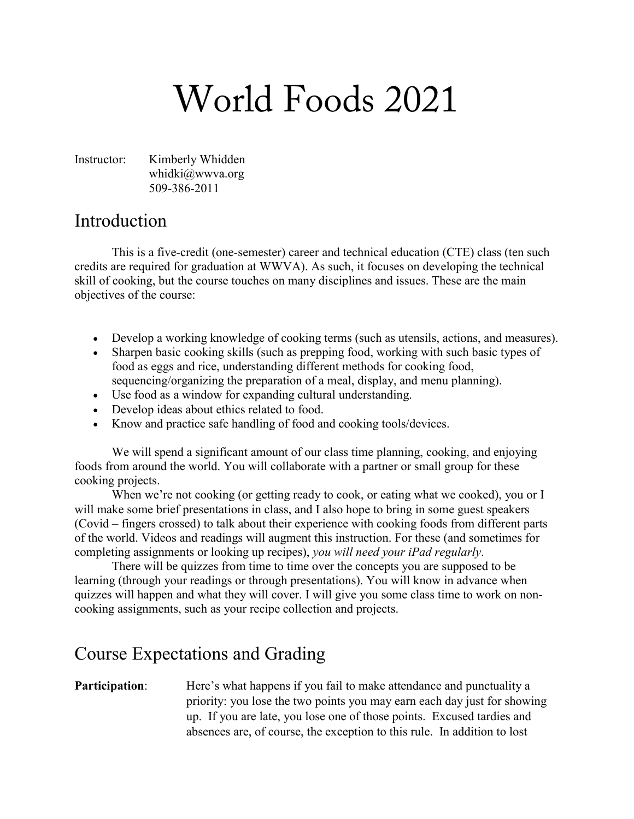# World Foods 2021

Instructor: Kimberly Whidden whidki@wwva.org 509-386-2011

#### Introduction

This is a five-credit (one-semester) career and technical education (CTE) class (ten such credits are required for graduation at WWVA). As such, it focuses on developing the technical skill of cooking, but the course touches on many disciplines and issues. These are the main objectives of the course:

- Develop a working knowledge of cooking terms (such as utensils, actions, and measures).
- Sharpen basic cooking skills (such as prepping food, working with such basic types of food as eggs and rice, understanding different methods for cooking food, sequencing/organizing the preparation of a meal, display, and menu planning).
- Use food as a window for expanding cultural understanding.
- Develop ideas about ethics related to food.
- Know and practice safe handling of food and cooking tools/devices.

We will spend a significant amount of our class time planning, cooking, and enjoying foods from around the world. You will collaborate with a partner or small group for these cooking projects.

When we're not cooking (or getting ready to cook, or eating what we cooked), you or I will make some brief presentations in class, and I also hope to bring in some guest speakers (Covid – fingers crossed) to talk about their experience with cooking foods from different parts of the world. Videos and readings will augment this instruction. For these (and sometimes for completing assignments or looking up recipes), *you will need your iPad regularly*.

There will be quizzes from time to time over the concepts you are supposed to be learning (through your readings or through presentations). You will know in advance when quizzes will happen and what they will cover. I will give you some class time to work on noncooking assignments, such as your recipe collection and projects.

## Course Expectations and Grading

**Participation:** Here's what happens if you fail to make attendance and punctuality a priority: you lose the two points you may earn each day just for showing up. If you are late, you lose one of those points. Excused tardies and absences are, of course, the exception to this rule. In addition to lost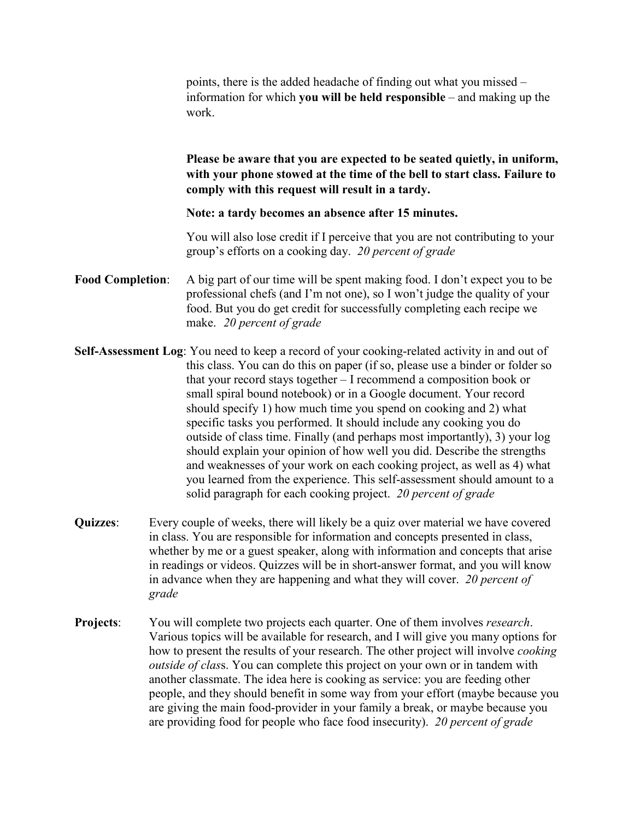points, there is the added headache of finding out what you missed – information for which **you will be held responsible** – and making up the work.

**Please be aware that you are expected to be seated quietly, in uniform, with your phone stowed at the time of the bell to start class. Failure to comply with this request will result in a tardy.** 

**Note: a tardy becomes an absence after 15 minutes.**

You will also lose credit if I perceive that you are not contributing to your group's efforts on a cooking day. *20 percent of grade*

- **Food Completion**: A big part of our time will be spent making food. I don't expect you to be professional chefs (and I'm not one), so I won't judge the quality of your food. But you do get credit for successfully completing each recipe we make. *20 percent of grade*
- **Self-Assessment Log**: You need to keep a record of your cooking-related activity in and out of this class. You can do this on paper (if so, please use a binder or folder so that your record stays together – I recommend a composition book or small spiral bound notebook) or in a Google document. Your record should specify 1) how much time you spend on cooking and 2) what specific tasks you performed. It should include any cooking you do outside of class time. Finally (and perhaps most importantly), 3) your log should explain your opinion of how well you did. Describe the strengths and weaknesses of your work on each cooking project, as well as 4) what you learned from the experience. This self-assessment should amount to a solid paragraph for each cooking project. *20 percent of grade*
- **Quizzes**: Every couple of weeks, there will likely be a quiz over material we have covered in class. You are responsible for information and concepts presented in class, whether by me or a guest speaker, along with information and concepts that arise in readings or videos. Quizzes will be in short-answer format, and you will know in advance when they are happening and what they will cover. *20 percent of grade*
- **Projects**: You will complete two projects each quarter. One of them involves *research*. Various topics will be available for research, and I will give you many options for how to present the results of your research. The other project will involve *cooking outside of clas*s. You can complete this project on your own or in tandem with another classmate. The idea here is cooking as service: you are feeding other people, and they should benefit in some way from your effort (maybe because you are giving the main food-provider in your family a break, or maybe because you are providing food for people who face food insecurity). *20 percent of grade*